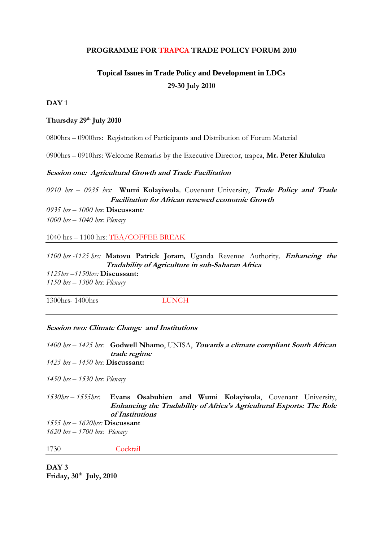# **PROGRAMME FOR TRAPCA TRADE POLICY FORUM 2010**

# **Topical Issues in Trade Policy and Development in LDCs 29-30 July 2010**

# **DAY 1**

## **Thursday 29th July 2010**

0800hrs – 0900hrs: Registration of Participants and Distribution of Forum Material

0900hrs – 0910hrs: Welcome Remarks by the Executive Director, trapca, **Mr. Peter Kiuluku**

## **Session one: Agricultural Growth and Trade Facilitation**

*0910 hrs – 0935 hrs:* **Wumi Kolayiwola***,* Covenant University, **Trade Policy and Trade Facilitation for African renewed economic Growth**

*0935 hrs – 1000 hrs:* **Discussant***: 1000 hrs – 1040 hrs: Plenary*

1040 hrs – 1100 hrs: TEA/COFFEE BREAK

*1100 hrs -1125 hrs:* **Matovu Patrick Joram**, Uganda Revenue Authority, **Enhancing the Tradability of Agriculture in sub-Saharan Africa** *1125hrs –1150hrs:* **Discussant:** *1150 hrs – 1300 hrs: Plenary*

1300hrs- 1400hrs LUNCH

#### **Session two: Climate Change and Institutions**

*1400 hrs – 1425 hrs:* **Godwell Nhamo**, UNISA, **Towards a climate compliant South African trade regime**

*1425 hrs – 1450 hrs:* **Discussant:**

*1450 hrs – 1530 hrs: Plenary*

*1530hrs – 1555hrs*: **Evans Osabuhien and Wumi Kolayiwola**, Covenant University, **Enhancing the Tradability of Africa's Agricultural Exports: The Role of Institutions**

*1555 hrs – 1620hrs:* **Discussant** *1620 hrs – 1700 hrs: Plenary*

1730 Cocktail

**DAY 3 Friday, 30th July, 2010**